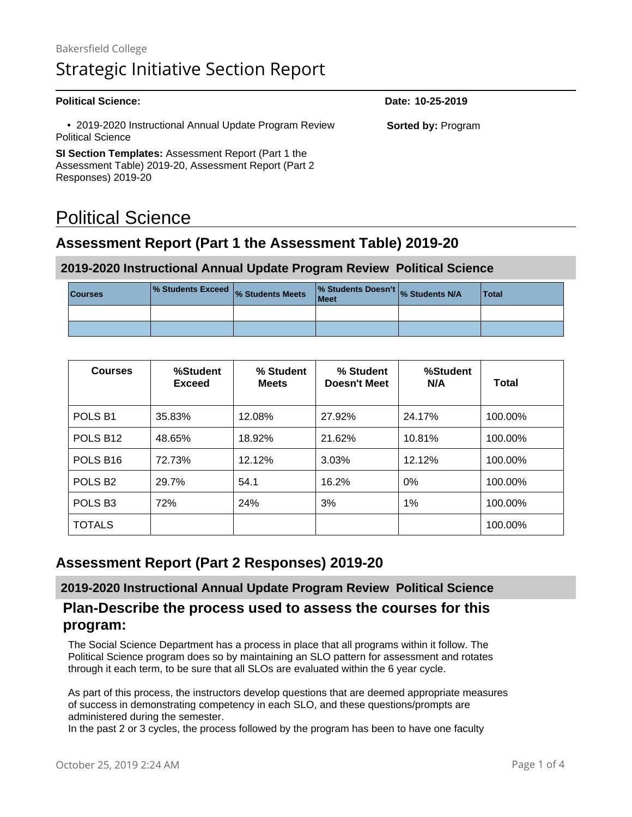#### **Political Science: Date: 10-25-2019**

 • 2019-2020 Instructional Annual Update Program Review Political Science

**SI Section Templates:** Assessment Report (Part 1 the Assessment Table) 2019-20, Assessment Report (Part 2 Responses) 2019-20

# Political Science

### **Assessment Report (Part 1 the Assessment Table) 2019-20**

#### **2019-2020 Instructional Annual Update Program Review Political Science**

| <b>Courses</b> | <b>1% Students Exceed</b> % Students Meets | % Students Doesn't % Students N/A<br>Meet | <b>Total</b> |
|----------------|--------------------------------------------|-------------------------------------------|--------------|
|                |                                            |                                           |              |
|                |                                            |                                           |              |

| <b>Courses</b>            | %Student<br><b>Exceed</b> | % Student<br><b>Meets</b> | % Student<br><b>Doesn't Meet</b> | %Student<br>N/A | Total   |
|---------------------------|---------------------------|---------------------------|----------------------------------|-----------------|---------|
| POLS <sub>B1</sub>        | 35.83%                    | 12.08%                    | 27.92%                           | 24.17%          | 100.00% |
| POLS B <sub>12</sub>      | 48.65%                    | 18.92%                    | 21.62%                           | 10.81%          | 100.00% |
| POLS B <sub>16</sub>      | 72.73%                    | 12.12%                    | 3.03%                            | 12.12%          | 100.00% |
| POLS <sub>B2</sub>        | 29.7%                     |                           | 16.2%                            | 0%              | 100.00% |
| POLS <sub>B3</sub><br>72% |                           | 24%                       | 3%                               | 1%              | 100.00% |
| <b>TOTALS</b>             |                           |                           |                                  |                 | 100.00% |

### **Assessment Report (Part 2 Responses) 2019-20**

**2019-2020 Instructional Annual Update Program Review Political Science**

#### **Plan-Describe the process used to assess the courses for this program:**

The Social Science Department has a process in place that all programs within it follow. The Political Science program does so by maintaining an SLO pattern for assessment and rotates through it each term, to be sure that all SLOs are evaluated within the 6 year cycle.

As part of this process, the instructors develop questions that are deemed appropriate measures of success in demonstrating competency in each SLO, and these questions/prompts are administered during the semester.

In the past 2 or 3 cycles, the process followed by the program has been to have one faculty

**Sorted by:** Program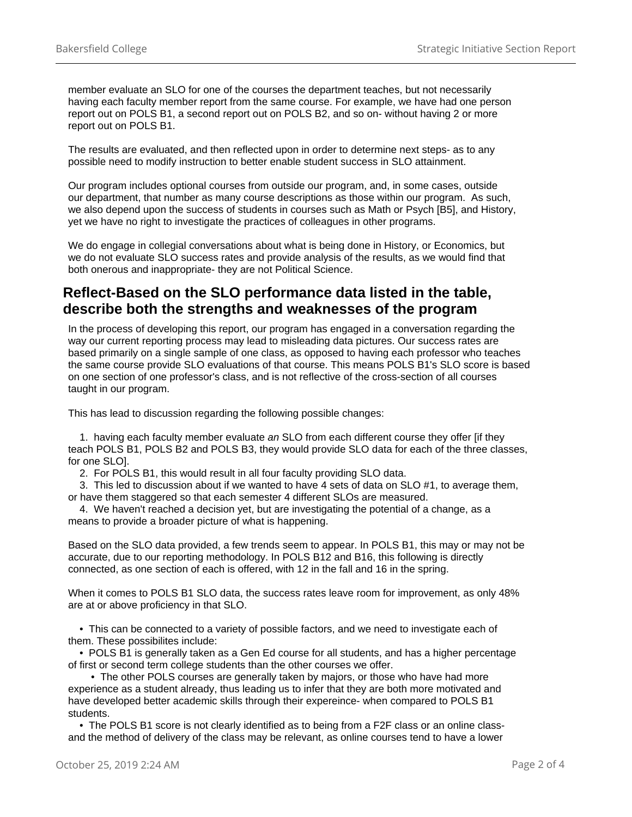member evaluate an SLO for one of the courses the department teaches, but not necessarily having each faculty member report from the same course. For example, we have had one person report out on POLS B1, a second report out on POLS B2, and so on- without having 2 or more report out on POLS B1.

The results are evaluated, and then reflected upon in order to determine next steps- as to any possible need to modify instruction to better enable student success in SLO attainment.

Our program includes optional courses from outside our program, and, in some cases, outside our department, that number as many course descriptions as those within our program. As such, we also depend upon the success of students in courses such as Math or Psych [B5], and History, yet we have no right to investigate the practices of colleagues in other programs.

We do engage in collegial conversations about what is being done in History, or Economics, but we do not evaluate SLO success rates and provide analysis of the results, as we would find that both onerous and inappropriate- they are not Political Science.

#### **Reflect-Based on the SLO performance data listed in the table, describe both the strengths and weaknesses of the program**

In the process of developing this report, our program has engaged in a conversation regarding the way our current reporting process may lead to misleading data pictures. Our success rates are based primarily on a single sample of one class, as opposed to having each professor who teaches the same course provide SLO evaluations of that course. This means POLS B1's SLO score is based on one section of one professor's class, and is not reflective of the cross-section of all courses taught in our program.

This has lead to discussion regarding the following possible changes:

1. having each faculty member evaluate an SLO from each different course they offer [if they teach POLS B1, POLS B2 and POLS B3, they would provide SLO data for each of the three classes, for one SLO].

2. For POLS B1, this would result in all four faculty providing SLO data.

 3. This led to discussion about if we wanted to have 4 sets of data on SLO #1, to average them, or have them staggered so that each semester 4 different SLOs are measured.

 4. We haven't reached a decision yet, but are investigating the potential of a change, as a means to provide a broader picture of what is happening.

Based on the SLO data provided, a few trends seem to appear. In POLS B1, this may or may not be accurate, due to our reporting methodology. In POLS B12 and B16, this following is directly connected, as one section of each is offered, with 12 in the fall and 16 in the spring.

When it comes to POLS B1 SLO data, the success rates leave room for improvement, as only 48% are at or above proficiency in that SLO.

 • This can be connected to a variety of possible factors, and we need to investigate each of them. These possibilites include:

 • POLS B1 is generally taken as a Gen Ed course for all students, and has a higher percentage of first or second term college students than the other courses we offer.

 • The other POLS courses are generally taken by majors, or those who have had more experience as a student already, thus leading us to infer that they are both more motivated and have developed better academic skills through their expereince- when compared to POLS B1 students.

 • The POLS B1 score is not clearly identified as to being from a F2F class or an online classand the method of delivery of the class may be relevant, as online courses tend to have a lower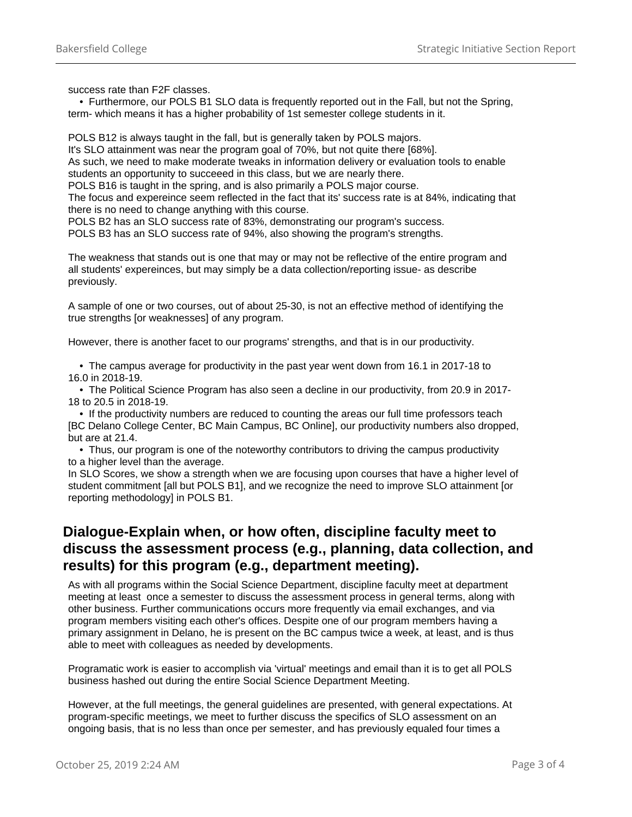success rate than F2F classes.

 • Furthermore, our POLS B1 SLO data is frequently reported out in the Fall, but not the Spring, term- which means it has a higher probability of 1st semester college students in it.

POLS B12 is always taught in the fall, but is generally taken by POLS majors. It's SLO attainment was near the program goal of 70%, but not quite there [68%]. As such, we need to make moderate tweaks in information delivery or evaluation tools to enable students an opportunity to succeeed in this class, but we are nearly there.

POLS B16 is taught in the spring, and is also primarily a POLS major course.

The focus and expereince seem reflected in the fact that its' success rate is at 84%, indicating that there is no need to change anything with this course.

POLS B2 has an SLO success rate of 83%, demonstrating our program's success.

POLS B3 has an SLO success rate of 94%, also showing the program's strengths.

The weakness that stands out is one that may or may not be reflective of the entire program and all students' expereinces, but may simply be a data collection/reporting issue- as describe previously.

A sample of one or two courses, out of about 25-30, is not an effective method of identifying the true strengths [or weaknesses] of any program.

However, there is another facet to our programs' strengths, and that is in our productivity.

 • The campus average for productivity in the past year went down from 16.1 in 2017-18 to 16.0 in 2018-19.

 • The Political Science Program has also seen a decline in our productivity, from 20.9 in 2017- 18 to 20.5 in 2018-19.

 • If the productivity numbers are reduced to counting the areas our full time professors teach [BC Delano College Center, BC Main Campus, BC Online], our productivity numbers also dropped, but are at 21.4.

 • Thus, our program is one of the noteworthy contributors to driving the campus productivity to a higher level than the average.

In SLO Scores, we show a strength when we are focusing upon courses that have a higher level of student commitment [all but POLS B1], and we recognize the need to improve SLO attainment [or reporting methodology] in POLS B1.

#### **Dialogue-Explain when, or how often, discipline faculty meet to discuss the assessment process (e.g., planning, data collection, and results) for this program (e.g., department meeting).**

As with all programs within the Social Science Department, discipline faculty meet at department meeting at least once a semester to discuss the assessment process in general terms, along with other business. Further communications occurs more frequently via email exchanges, and via program members visiting each other's offices. Despite one of our program members having a primary assignment in Delano, he is present on the BC campus twice a week, at least, and is thus able to meet with colleagues as needed by developments.

Programatic work is easier to accomplish via 'virtual' meetings and email than it is to get all POLS business hashed out during the entire Social Science Department Meeting.

However, at the full meetings, the general guidelines are presented, with general expectations. At program-specific meetings, we meet to further discuss the specifics of SLO assessment on an ongoing basis, that is no less than once per semester, and has previously equaled four times a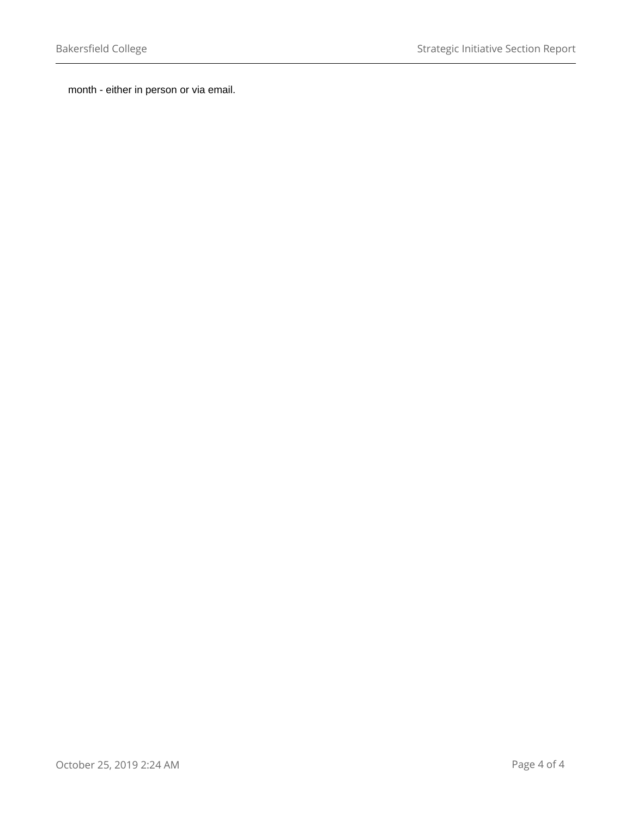month - either in person or via email.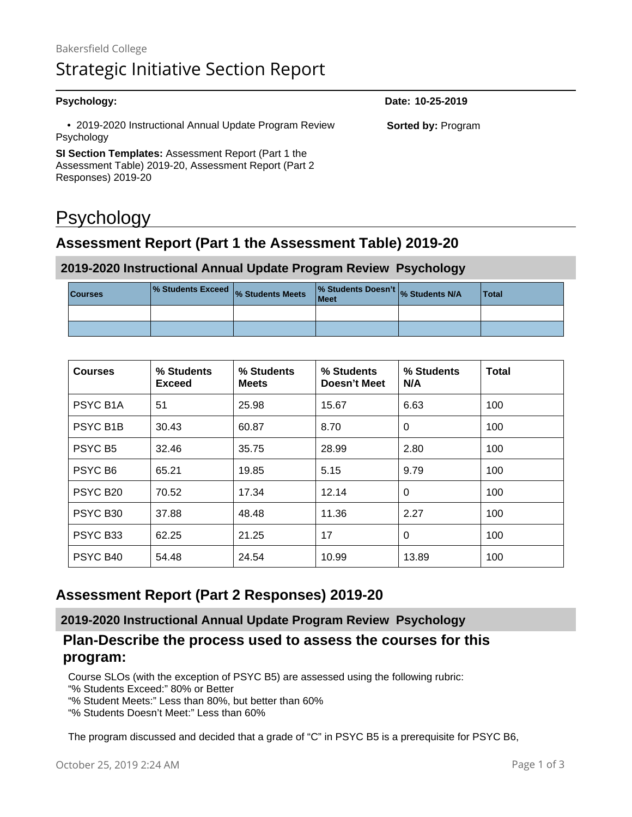| <b>Psychology:</b>                                                                                                  | Date: 10-25-2019          |
|---------------------------------------------------------------------------------------------------------------------|---------------------------|
| • 2019-2020 Instructional Annual Update Program Review<br>Psychology                                                | <b>Sorted by: Program</b> |
| <b>SI Section Templates:</b> Assessment Report (Part 1 the<br>Assessment Table) 2019-20, Assessment Report (Part 2) |                           |
| Responses) 2019-20                                                                                                  |                           |

# Psychology

# **Assessment Report (Part 1 the Assessment Table) 2019-20**

#### **2019-2020 Instructional Annual Update Program Review Psychology**

| <b>Courses</b> | % Students Exceed % Students Meets | % Students Doesn't % Students N/A<br>Meet | <b>Total</b> |
|----------------|------------------------------------|-------------------------------------------|--------------|
|                |                                    |                                           |              |
|                |                                    |                                           |              |

| <b>Courses</b>                         | % Students<br>Exceed | % Students<br><b>Meets</b> | % Students<br>Doesn't Meet | % Students<br>N/A | <b>Total</b> |
|----------------------------------------|----------------------|----------------------------|----------------------------|-------------------|--------------|
| PSYC B <sub>1</sub> A                  | 51<br>25.98          |                            | 15.67                      | 6.63              | 100          |
| <b>PSYC B1B</b>                        | 30.43                | 60.87                      | 8.70                       | $\Omega$          | 100          |
| PSYC B <sub>5</sub>                    | 32.46                | 35.75                      | 28.99                      | 2.80              | 100          |
| PSYC B <sub>6</sub>                    | 65.21<br>19.85       |                            | 5.15                       | 9.79              | 100          |
| PSYC B <sub>20</sub>                   | 70.52                | 17.34                      | 12.14                      | 0                 | 100          |
| PSYC B <sub>30</sub>                   | 37.88                | 48.48                      | 11.36                      | 2.27              | 100          |
| PSYC B <sub>33</sub>                   | 62.25                | 21.25                      | 17                         | 0                 | 100          |
| PSYC B <sub>40</sub><br>54.48<br>24.54 |                      | 10.99                      | 13.89                      | 100               |              |

### **Assessment Report (Part 2 Responses) 2019-20**

**2019-2020 Instructional Annual Update Program Review Psychology**

#### **Plan-Describe the process used to assess the courses for this program:**

Course SLOs (with the exception of PSYC B5) are assessed using the following rubric:

- "% Students Exceed:" 80% or Better
- "% Student Meets:" Less than 80%, but better than 60%
- "% Students Doesn't Meet:" Less than 60%

The program discussed and decided that a grade of "C" in PSYC B5 is a prerequisite for PSYC B6,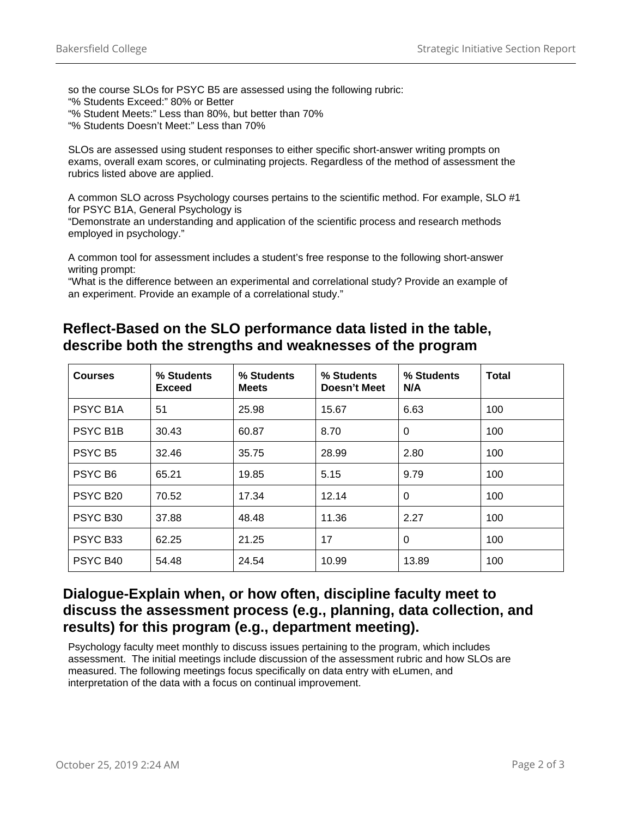so the course SLOs for PSYC B5 are assessed using the following rubric:

- "% Students Exceed:" 80% or Better
- "% Student Meets:" Less than 80%, but better than 70%
- "% Students Doesn't Meet:" Less than 70%

SLOs are assessed using student responses to either specific short-answer writing prompts on exams, overall exam scores, or culminating projects. Regardless of the method of assessment the rubrics listed above are applied.

A common SLO across Psychology courses pertains to the scientific method. For example, SLO #1 for PSYC B1A, General Psychology is

"Demonstrate an understanding and application of the scientific process and research methods employed in psychology."

A common tool for assessment includes a student's free response to the following short-answer writing prompt:

"What is the difference between an experimental and correlational study? Provide an example of an experiment. Provide an example of a correlational study."

#### **Reflect-Based on the SLO performance data listed in the table, describe both the strengths and weaknesses of the program**

| <b>Courses</b>             | % Students<br><b>Exceed</b> | % Students<br><b>Meets</b> | % Students<br>Doesn't Meet | % Students<br>N/A | <b>Total</b> |
|----------------------------|-----------------------------|----------------------------|----------------------------|-------------------|--------------|
| PSYC B <sub>1</sub> A      | 51<br>25.98                 |                            | 15.67                      | 6.63              | 100          |
| PSYC B <sub>1</sub> B      | 30.43<br>60.87              |                            | 8.70                       | 0                 | 100          |
| PSYC B5                    | 32.46                       | 35.75                      | 28.99                      | 2.80              | 100          |
| PSYC B <sub>6</sub>        | 65.21<br>19.85              |                            | 5.15                       | 9.79              | 100          |
| PSYC B <sub>20</sub>       | 17.34<br>70.52              |                            | 12.14                      | $\Omega$          | 100          |
| PSYC B <sub>30</sub>       | 37.88                       | 48.48                      | 11.36                      | 2.27              | 100          |
| PSYC B <sub>33</sub>       | 62.25                       | 21.25                      | 17                         | 0                 | 100          |
| PSYC B40<br>54.48<br>24.54 |                             | 10.99                      | 13.89                      | 100               |              |

#### **Dialogue-Explain when, or how often, discipline faculty meet to discuss the assessment process (e.g., planning, data collection, and results) for this program (e.g., department meeting).**

Psychology faculty meet monthly to discuss issues pertaining to the program, which includes assessment. The initial meetings include discussion of the assessment rubric and how SLOs are measured. The following meetings focus specifically on data entry with eLumen, and interpretation of the data with a focus on continual improvement.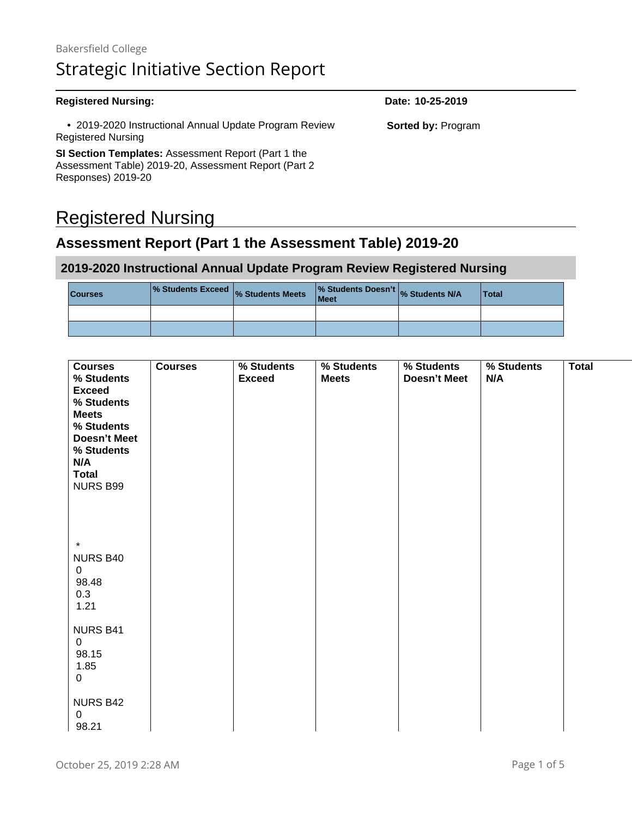#### **Registered Nursing: Date: 10-25-2019** • 2019-2020 Instructional Annual Update Program Review Registered Nursing **SI Section Templates:** Assessment Report (Part 1 the Assessment Table) 2019-20, Assessment Report (Part 2 **Sorted by:** Program

# Registered Nursing

Responses) 2019-20

# **Assessment Report (Part 1 the Assessment Table) 2019-20**

#### **2019-2020 Instructional Annual Update Program Review Registered Nursing**

| <b>Courses</b> | <b>1% Students Exceed  % Students Meets</b>   2011 | <b>Meet</b> | % Students Doesn't % Students N/A | Total |
|----------------|----------------------------------------------------|-------------|-----------------------------------|-------|
|                |                                                    |             |                                   |       |
|                |                                                    |             |                                   |       |

|                                          | Courses Courses % Students % Students % Students % Students Total<br>Exceed Meets Doesn't Meet N/A |  |
|------------------------------------------|----------------------------------------------------------------------------------------------------|--|
|                                          |                                                                                                    |  |
| <b>Exceed</b><br>% Students              |                                                                                                    |  |
|                                          |                                                                                                    |  |
|                                          |                                                                                                    |  |
| <b>Meets</b>                             |                                                                                                    |  |
|                                          |                                                                                                    |  |
| % Students<br>Doesn't Meet<br>% Students |                                                                                                    |  |
|                                          |                                                                                                    |  |
|                                          |                                                                                                    |  |
|                                          |                                                                                                    |  |
|                                          |                                                                                                    |  |
| <b>Total</b><br>  NURS B99               |                                                                                                    |  |
|                                          |                                                                                                    |  |
|                                          |                                                                                                    |  |
|                                          |                                                                                                    |  |
|                                          |                                                                                                    |  |
|                                          |                                                                                                    |  |
|                                          |                                                                                                    |  |
|                                          |                                                                                                    |  |
|                                          |                                                                                                    |  |
|                                          |                                                                                                    |  |
| NURS B40                                 |                                                                                                    |  |
|                                          |                                                                                                    |  |
|                                          |                                                                                                    |  |
| 98.48                                    |                                                                                                    |  |
|                                          |                                                                                                    |  |
|                                          |                                                                                                    |  |
|                                          |                                                                                                    |  |
|                                          |                                                                                                    |  |
|                                          |                                                                                                    |  |
| NURS B41                                 |                                                                                                    |  |
|                                          |                                                                                                    |  |
|                                          |                                                                                                    |  |
| 98 15                                    |                                                                                                    |  |
|                                          |                                                                                                    |  |
|                                          |                                                                                                    |  |
|                                          |                                                                                                    |  |
|                                          |                                                                                                    |  |
| NURS B42                                 |                                                                                                    |  |
|                                          |                                                                                                    |  |
|                                          |                                                                                                    |  |
|                                          |                                                                                                    |  |
|                                          |                                                                                                    |  |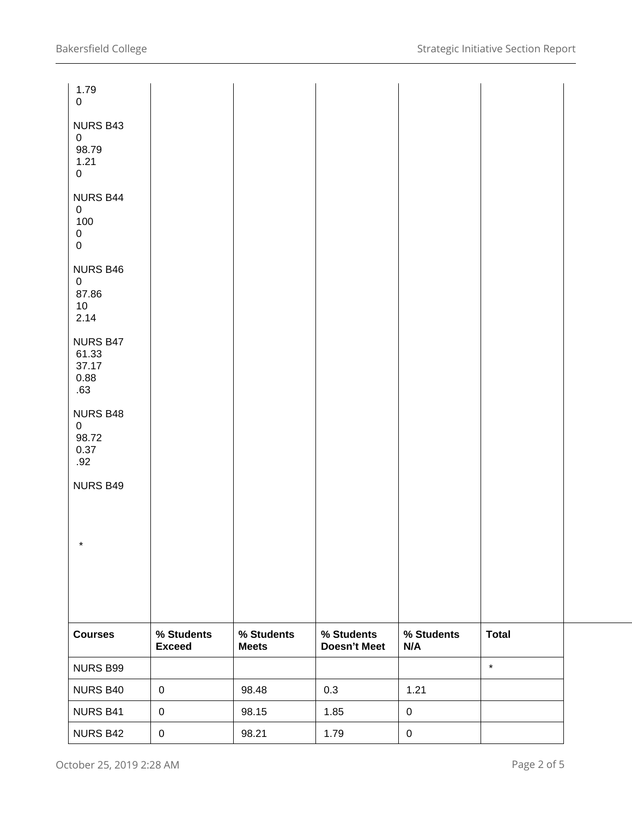| 1.79<br>$\mathbf 0$                                                         |                             |                            |                                   |                   |              |  |
|-----------------------------------------------------------------------------|-----------------------------|----------------------------|-----------------------------------|-------------------|--------------|--|
| NURS B43<br>$\mathbf 0$<br>98.79<br>1.21<br>$\mathbf 0$                     |                             |                            |                                   |                   |              |  |
| <b>NURS B44</b><br>$\mathbf 0$<br>100<br>$\mathbf 0$<br>$\mathsf{O}\xspace$ |                             |                            |                                   |                   |              |  |
| NURS B46<br>$\mathbf 0$<br>87.86<br>10 <sup>°</sup><br>2.14                 |                             |                            |                                   |                   |              |  |
| NURS B47<br>61.33<br>37.17<br>0.88<br>.63                                   |                             |                            |                                   |                   |              |  |
| <b>NURS B48</b><br>$\overline{0}$<br>98.72<br>0.37<br>.92                   |                             |                            |                                   |                   |              |  |
| <b>NURS B49</b>                                                             |                             |                            |                                   |                   |              |  |
| $\star$                                                                     |                             |                            |                                   |                   |              |  |
|                                                                             |                             |                            |                                   |                   |              |  |
| <b>Courses</b>                                                              | % Students<br><b>Exceed</b> | % Students<br><b>Meets</b> | % Students<br><b>Doesn't Meet</b> | % Students<br>N/A | <b>Total</b> |  |
| NURS B99                                                                    |                             |                            |                                   |                   | $\star$      |  |
| NURS B40                                                                    | $\mathbf 0$                 | 98.48                      | 0.3                               | 1.21              |              |  |
| NURS B41                                                                    | $\pmb{0}$                   | 98.15                      | 1.85                              | $\pmb{0}$         |              |  |
| NURS B42                                                                    | $\pmb{0}$                   | 98.21                      | 1.79                              | $\pmb{0}$         |              |  |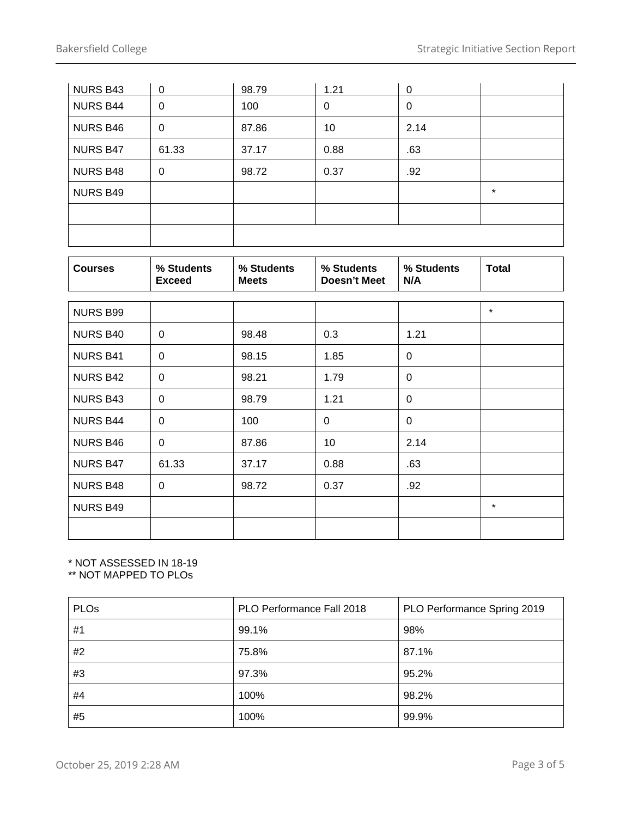| <b>NURS B43</b> | 0     | 98.79 | 1.21 | 0    |         |
|-----------------|-------|-------|------|------|---------|
| <b>NURS B44</b> | 0     | 100   | 0    | 0    |         |
| <b>NURS B46</b> | 0     | 87.86 | 10   | 2.14 |         |
| <b>NURS B47</b> | 61.33 | 37.17 | 0.88 | .63  |         |
| <b>NURS B48</b> | 0     | 98.72 | 0.37 | .92  |         |
| <b>NURS B49</b> |       |       |      |      | $\star$ |
|                 |       |       |      |      |         |
|                 |       |       |      |      |         |

| <b>Courses</b>  | % Students<br><b>Exceed</b> | % Students<br><b>Meets</b> | % Students<br>Doesn't Meet | % Students<br>N/A | <b>Total</b> |
|-----------------|-----------------------------|----------------------------|----------------------------|-------------------|--------------|
| <b>NURS B99</b> |                             |                            |                            |                   | $\star$      |
| <b>NURS B40</b> | $\Omega$                    | 98.48                      | 0.3                        | 1.21              |              |
| <b>NURS B41</b> | 0                           | 98.15                      | 1.85                       | 0                 |              |
| <b>NURS B42</b> | $\mathbf 0$                 | 98.21                      | 1.79                       | $\mathbf 0$       |              |
| <b>NURS B43</b> | 0                           | 98.79                      | 1.21                       | 0                 |              |
| <b>NURS B44</b> | 0                           | 100                        | 0                          | 0                 |              |
| <b>NURS B46</b> | $\mathbf 0$                 | 87.86                      | 10                         | 2.14              |              |
| <b>NURS B47</b> | 61.33                       | 37.17                      | 0.88                       | .63               |              |
| <b>NURS B48</b> | $\Omega$                    | 98.72                      | 0.37                       | .92               |              |
| <b>NURS B49</b> |                             |                            |                            |                   | $\star$      |
|                 |                             |                            |                            |                   |              |

#### \* NOT ASSESSED IN 18-19

\*\* NOT MAPPED TO PLOs

| PLO <sub>s</sub> | PLO Performance Fall 2018 | PLO Performance Spring 2019 |
|------------------|---------------------------|-----------------------------|
| #1               | 99.1%                     | 98%                         |
| #2               | 75.8%                     | 87.1%                       |
| #3               | 97.3%                     | 95.2%                       |
| #4               | 100%                      | 98.2%                       |
| #5               | 100%                      | 99.9%                       |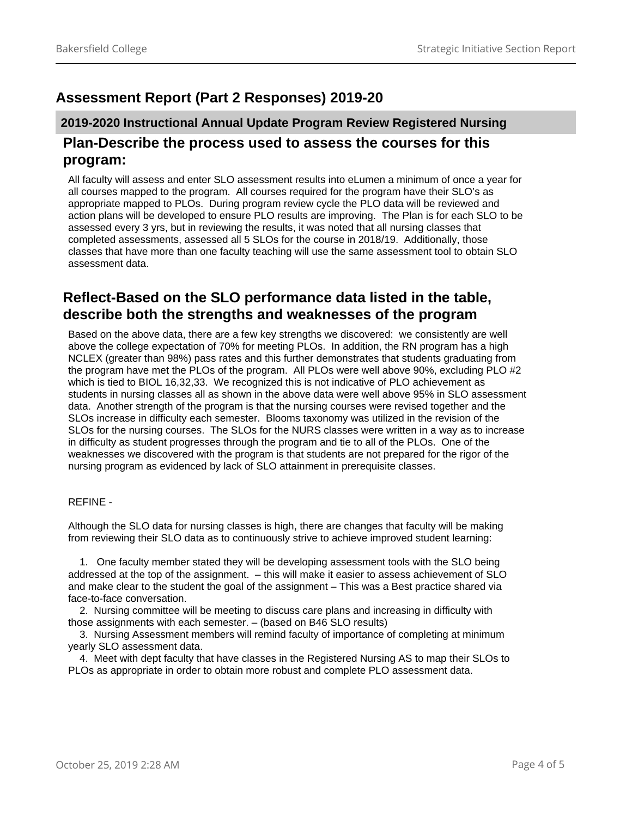## **Assessment Report (Part 2 Responses) 2019-20**

### **2019-2020 Instructional Annual Update Program Review Registered Nursing Plan-Describe the process used to assess the courses for this program:**

All faculty will assess and enter SLO assessment results into eLumen a minimum of once a year for all courses mapped to the program. All courses required for the program have their SLO's as appropriate mapped to PLOs. During program review cycle the PLO data will be reviewed and action plans will be developed to ensure PLO results are improving. The Plan is for each SLO to be assessed every 3 yrs, but in reviewing the results, it was noted that all nursing classes that completed assessments, assessed all 5 SLOs for the course in 2018/19. Additionally, those classes that have more than one faculty teaching will use the same assessment tool to obtain SLO assessment data.

#### **Reflect-Based on the SLO performance data listed in the table, describe both the strengths and weaknesses of the program**

Based on the above data, there are a few key strengths we discovered: we consistently are well above the college expectation of 70% for meeting PLOs. In addition, the RN program has a high NCLEX (greater than 98%) pass rates and this further demonstrates that students graduating from the program have met the PLOs of the program. All PLOs were well above 90%, excluding PLO #2 which is tied to BIOL 16,32,33. We recognized this is not indicative of PLO achievement as students in nursing classes all as shown in the above data were well above 95% in SLO assessment data. Another strength of the program is that the nursing courses were revised together and the SLOs increase in difficulty each semester. Blooms taxonomy was utilized in the revision of the SLOs for the nursing courses. The SLOs for the NURS classes were written in a way as to increase in difficulty as student progresses through the program and tie to all of the PLOs. One of the weaknesses we discovered with the program is that students are not prepared for the rigor of the nursing program as evidenced by lack of SLO attainment in prerequisite classes.

#### REFINE -

Although the SLO data for nursing classes is high, there are changes that faculty will be making from reviewing their SLO data as to continuously strive to achieve improved student learning:

 1. One faculty member stated they will be developing assessment tools with the SLO being addressed at the top of the assignment. – this will make it easier to assess achievement of SLO and make clear to the student the goal of the assignment – This was a Best practice shared via face-to-face conversation.

 2. Nursing committee will be meeting to discuss care plans and increasing in difficulty with those assignments with each semester. – (based on B46 SLO results)

 3. Nursing Assessment members will remind faculty of importance of completing at minimum yearly SLO assessment data.

 4. Meet with dept faculty that have classes in the Registered Nursing AS to map their SLOs to PLOs as appropriate in order to obtain more robust and complete PLO assessment data.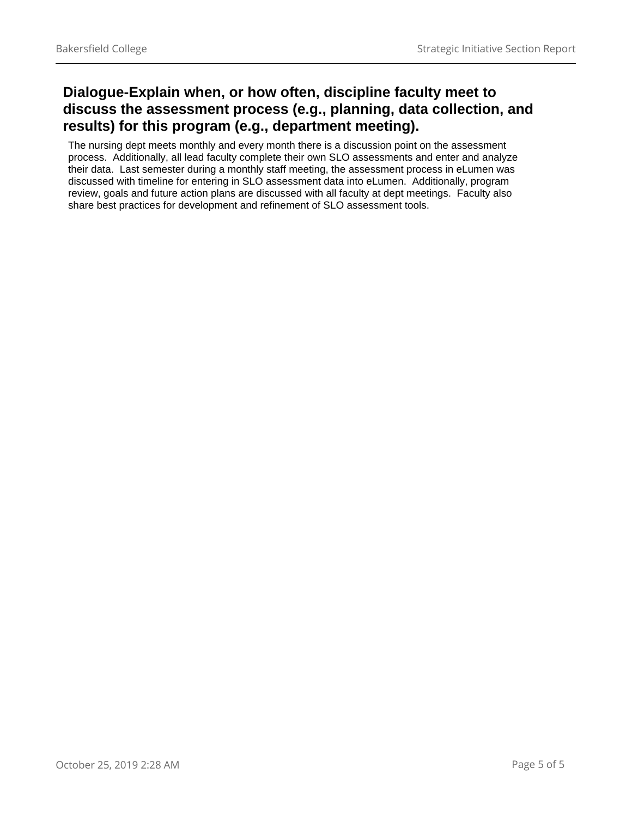## **Dialogue-Explain when, or how often, discipline faculty meet to discuss the assessment process (e.g., planning, data collection, and results) for this program (e.g., department meeting).**

The nursing dept meets monthly and every month there is a discussion point on the assessment process. Additionally, all lead faculty complete their own SLO assessments and enter and analyze their data. Last semester during a monthly staff meeting, the assessment process in eLumen was discussed with timeline for entering in SLO assessment data into eLumen. Additionally, program review, goals and future action plans are discussed with all faculty at dept meetings. Faculty also share best practices for development and refinement of SLO assessment tools.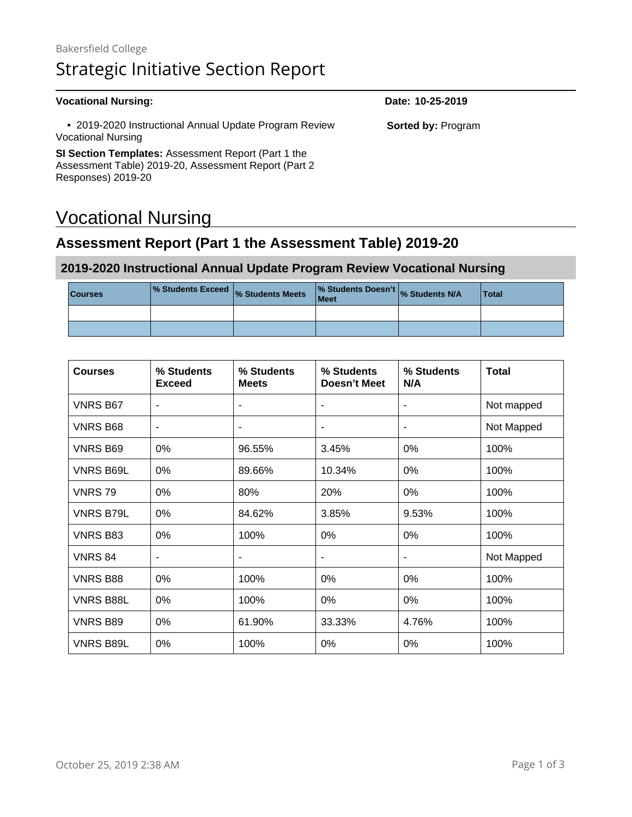#### **Vocational Nursing: Date: 10-25-2019**

 • 2019-2020 Instructional Annual Update Program Review Vocational Nursing

**SI Section Templates:** Assessment Report (Part 1 the Assessment Table) 2019-20, Assessment Report (Part 2 Responses) 2019-20

# Vocational Nursing

## **Assessment Report (Part 1 the Assessment Table) 2019-20**

#### **2019-2020 Instructional Annual Update Program Review Vocational Nursing**

| <b>Courses</b> | ■ % Students Exceed % Students Meets | Meet | % Students Doesn't % Students N/A | <b>Total</b> |
|----------------|--------------------------------------|------|-----------------------------------|--------------|
|                |                                      |      |                                   |              |
|                |                                      |      |                                   |              |

| <b>Courses</b>   | % Students<br><b>Exceed</b> | % Students<br><b>Meets</b> | % Students<br><b>Doesn't Meet</b> | % Students<br>N/A | <b>Total</b> |
|------------------|-----------------------------|----------------------------|-----------------------------------|-------------------|--------------|
| <b>VNRS B67</b>  |                             |                            | $\blacksquare$                    |                   | Not mapped   |
| <b>VNRS B68</b>  | $\overline{\phantom{a}}$    | ٠                          | $\blacksquare$                    | ٠                 | Not Mapped   |
| <b>VNRS B69</b>  | 0%                          | 96.55%                     | 3.45%                             | 0%                | 100%         |
| <b>VNRS B69L</b> | $0\%$                       | 89.66%                     | 10.34%                            | $0\%$             | 100%         |
| <b>VNRS79</b>    | $0\%$                       | 80%                        | 20%                               | $0\%$             | 100%         |
| <b>VNRS B79L</b> | 0%                          | 84.62%                     | 3.85%                             | 9.53%             | 100%         |
| <b>VNRS B83</b>  | $0\%$                       | 100%                       | $0\%$                             | $0\%$             | 100%         |
| <b>VNRS 84</b>   | $\overline{\phantom{a}}$    | ٠                          | $\blacksquare$                    | ۰                 | Not Mapped   |
| <b>VNRS B88</b>  | $0\%$                       | 100%                       | 0%                                | $0\%$             | 100%         |
| <b>VNRS B88L</b> | $0\%$                       | 100%                       | 0%                                | 0%                | 100%         |
| <b>VNRS B89</b>  | 0%                          | 61.90%                     | 33.33%                            | 4.76%             | 100%         |
| <b>VNRS B89L</b> | $0\%$                       | 100%                       | $0\%$                             | $0\%$             | 100%         |

**Sorted by:** Program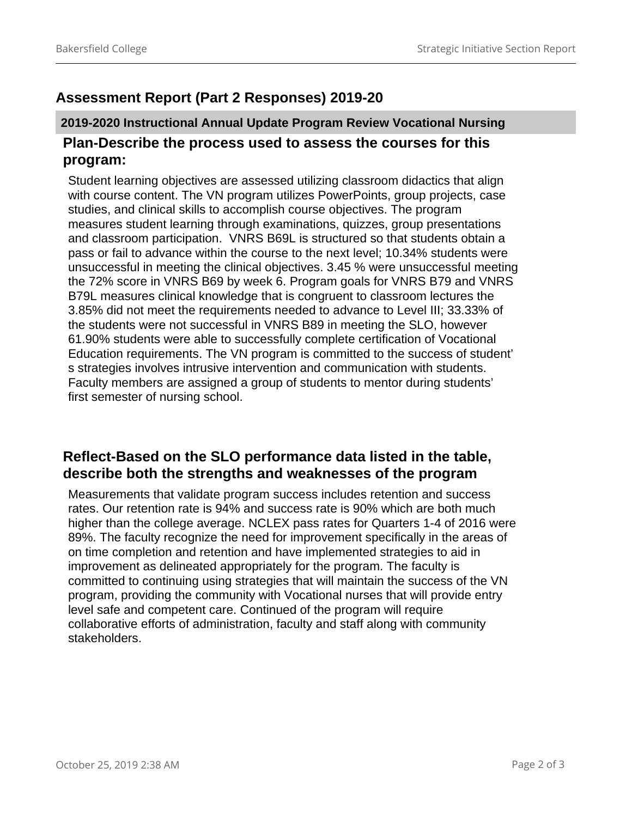# **Assessment Report (Part 2 Responses) 2019-20**

## **2019-2020 Instructional Annual Update Program Review Vocational Nursing Plan-Describe the process used to assess the courses for this program:**

Student learning objectives are assessed utilizing classroom didactics that align with course content. The VN program utilizes PowerPoints, group projects, case studies, and clinical skills to accomplish course objectives. The program measures student learning through examinations, quizzes, group presentations and classroom participation. VNRS B69L is structured so that students obtain a pass or fail to advance within the course to the next level; 10.34% students were unsuccessful in meeting the clinical objectives. 3.45 % were unsuccessful meeting the 72% score in VNRS B69 by week 6. Program goals for VNRS B79 and VNRS B79L measures clinical knowledge that is congruent to classroom lectures the 3.85% did not meet the requirements needed to advance to Level III; 33.33% of the students were not successful in VNRS B89 in meeting the SLO, however 61.90% students were able to successfully complete certification of Vocational Education requirements. The VN program is committed to the success of student' s strategies involves intrusive intervention and communication with students. Faculty members are assigned a group of students to mentor during students' first semester of nursing school.

### **Reflect-Based on the SLO performance data listed in the table, describe both the strengths and weaknesses of the program**

Measurements that validate program success includes retention and success rates. Our retention rate is 94% and success rate is 90% which are both much higher than the college average. NCLEX pass rates for Quarters 1-4 of 2016 were 89%. The faculty recognize the need for improvement specifically in the areas of on time completion and retention and have implemented strategies to aid in improvement as delineated appropriately for the program. The faculty is committed to continuing using strategies that will maintain the success of the VN program, providing the community with Vocational nurses that will provide entry level safe and competent care. Continued of the program will require collaborative efforts of administration, faculty and staff along with community stakeholders.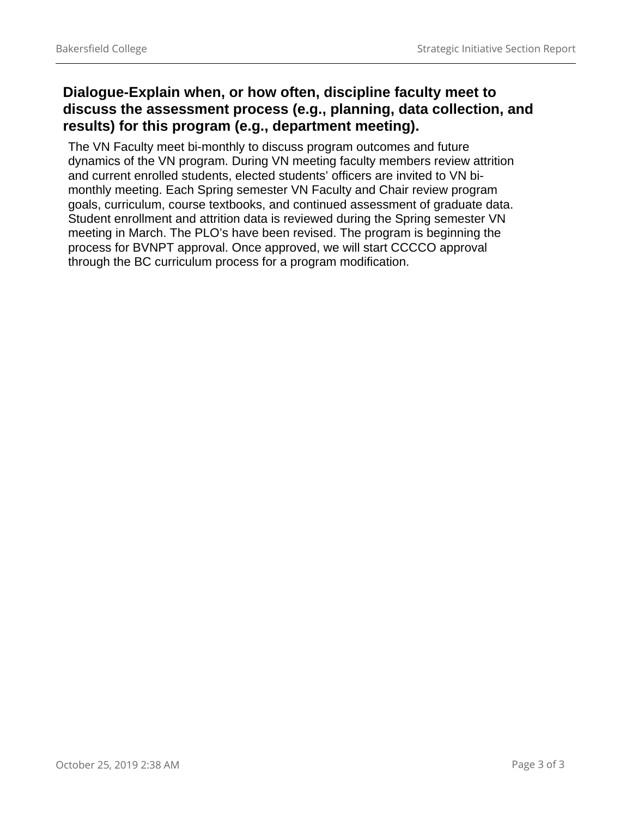## **Dialogue-Explain when, or how often, discipline faculty meet to discuss the assessment process (e.g., planning, data collection, and results) for this program (e.g., department meeting).**

The VN Faculty meet bi-monthly to discuss program outcomes and future dynamics of the VN program. During VN meeting faculty members review attrition and current enrolled students, elected students' officers are invited to VN bimonthly meeting. Each Spring semester VN Faculty and Chair review program goals, curriculum, course textbooks, and continued assessment of graduate data. Student enrollment and attrition data is reviewed during the Spring semester VN meeting in March. The PLO's have been revised. The program is beginning the process for BVNPT approval. Once approved, we will start CCCCO approval through the BC curriculum process for a program modification.